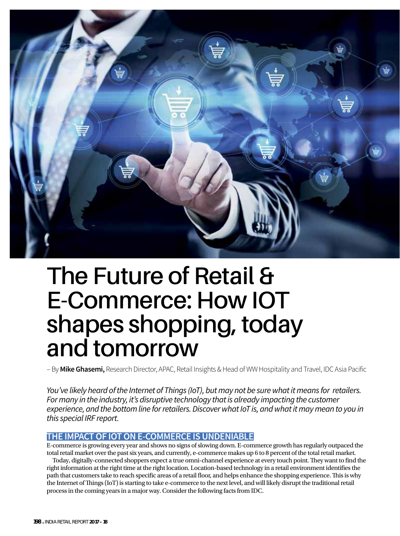

# **The Future of Retail & E-Commerce: How IOT shapes shopping, today and tomorrow**

– By **Mike Ghasemi,** Research Director, APAC, Retail Insights & Head of WW Hospitality and Travel, IDC Asia Pacific

You've likely heard of the Internet of Things (IoT), but may not be sure what it means for retailers. For many in the industry, it's disruptive technology that is already impacting the customer experience, and the bottom line for retailers. Discover what IoT is, and what it may mean to you in this special IRF report.

## **THE IMPACT OF IOT ON E-COMMERCE IS UNDENIABLE**

E-commerce is growing every year and shows no signs of slowing down. E-commerce growth has regularly outpaced the total retail market over the past six years, and currently, e-commerce makes up 6 to 8 percent of the total retail market.

Today, digitally-connected shoppers expect a true omni-channel experience at every touch point. They want to find the right information at the right time at the right location. Location-based technology in a retail environment identifies the path that customers take to reach specific areas of a retail floor, and helps enhance the shopping experience. This is why the Internet of Things (IoT) is starting to take e-commerce to the next level, and will likely disrupt the traditional retail process in the coming years in a major way. Consider the following facts from IDC.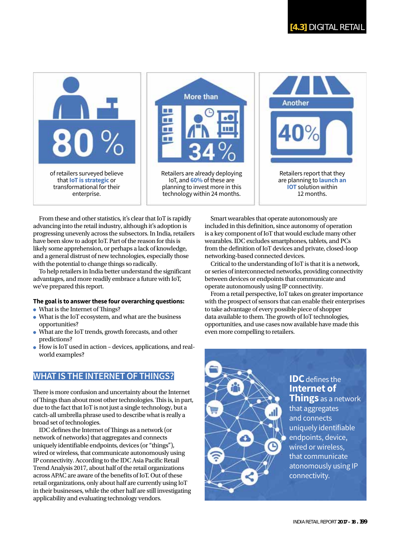



Retailers are already deploying IoT, and **60%** of these are planning to invest more in this technology within 24 months.



From these and other statistics, it's clear that IoT is rapidly advancing into the retail industry, although it's adoption is progressing unevenly across the subsectors. In India, retailers have been slow to adopt IoT. Part of the reason for this is likely some apprehension, or perhaps a lack of knowledge, and a general distrust of new technologies, especially those with the potential to change things so radically.

To help retailers in India better understand the significant advantages, and more readily embrace a future with IoT, we've prepared this report.

#### **The goal is to answer these four overarching questions:**

- $\bullet$  What is the Internet of Things?
- What is the IoT ecosystem, and what are the business opportunities?
- What are the IoT trends, growth forecasts, and other predictions?
- How is IoT used in action devices, applications, and realworld examples?

# **WHAT IS THE INTERNET OF THINGS?**

There is more confusion and uncertainty about the Internet of Things than about most other technologies. This is, in part, due to the fact that IoT is not just a single technology, but a catch-all umbrella phrase used to describe what is really a broad set of technologies.

IDC defines the Internet of Things as a network (or network of networks) that aggregates and connects uniquely identifiable endpoints, devices (or "things"), wired or wireless, that communicate autonomously using IP connectivity. According to the IDC Asia Pacific Retail Trend Analysis 2017, about half of the retail organizations across APAC are aware of the benefits of IoT. Out of these retail organizations, only about half are currently using IoT in their businesses, while the other half are still investigating applicability and evaluating technology vendors.

Smart wearables that operate autonomously are included in this definition, since autonomy of operation is a key component of IoT that would exclude many other wearables. IDC excludes smartphones, tablets, and PCs from the definition of IoT devices and private, closed-loop networking-based connected devices.

Critical to the understanding of IoT is that it is a network, or series of interconnected networks, providing connectivity between devices or endpoints that communicate and operate autonomously using IP connectivity.

From a retail perspective, IoT takes on greater importance with the prospect of sensors that can enable their enterprises to take advantage of every possible piece of shopper data available to them. The growth of IoT technologies, opportunities, and use cases now available have made this even more compelling to retailers.

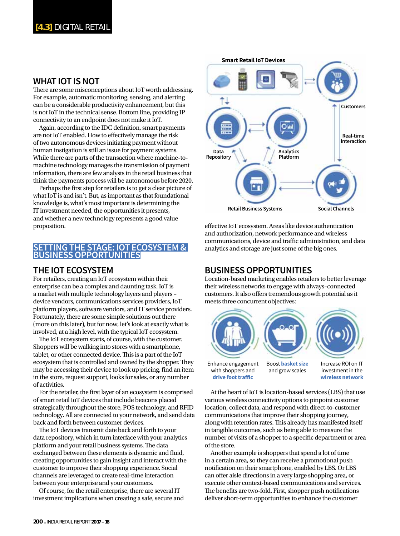#### **WHAT IOT IS NOT**

There are some misconceptions about IoT worth addressing. For example, automatic monitoring, sensing, and alerting can be a considerable productivity enhancement, but this is not IoT in the technical sense. Bottom line, providing IP connectivity to an endpoint does not make it IoT.

Again, according to the IDC definition, smart payments are not IoT enabled. How to effectively manage the risk of two autonomous devices initiating payment without human instigation is still an issue for payment systems. While there are parts of the transaction where machine-tomachine technology manages the transmission of payment information, there are few analysts in the retail business that think the payments process will be autonomous before 2020.

Perhaps the first step for retailers is to get a clear picture of what IoT is and isn't. But, as important as that foundational knowledge is, what's most important is determining the IT investment needed, the opportunities it presents, and whether a new technology represents a good value proposition.

#### **ING THE STAGE: IOT ECOSYSTEM & BUSINESS OPPORTUNITIES**

## **THE IOT ECOSYSTEM**

For retailers, creating an IoT ecosystem within their enterprise can be a complex and daunting task. IoT is a market with multiple technology layers and players – device vendors, communications services providers, IoT platform players, software vendors, and IT service providers. Fortunately, there are some simple solutions out there (more on this later), but for now, let's look at exactly what is involved, at a high level, with the typical IoT ecosystem.

The IoT ecosystem starts, of course, with the customer. Shoppers will be walking into stores with a smartphone, tablet, or other connected device. This is a part of the IoT ecosystem that is controlled and owned by the shopper. They may be accessing their device to look up pricing, find an item in the store, request support, looks for sales, or any number of activities.

For the retailer, the first layer of an ecosystem is comprised of smart retail IoT devices that include beacons placed strategically throughout the store, POS technology, and RFID technology. All are connected to your network, and send data back and forth between customer devices.

The IoT devices transmit date back and forth to your data repository, which in turn interface with your analytics platform and your retail business systems. The data exchanged between these elements is dynamic and fluid, creating opportunities to gain insight and interact with the customer to improve their shopping experience. Social channels are leveraged to create real-time interaction between your enterprise and your customers.

Of course, for the retail enterprise, there are several IT investment implications when creating a safe, secure and



effective IoT ecosystem. Areas like device authentication and authorization, network performance and wireless communications, device and traffic administration, and data analytics and storage are just some of the big ones.

### **BUSINESS OPPORTUNITIES**

Location-based marketing enables retailers to better leverage their wireless networks to engage with always–connected customers. It also offers tremendous growth potential as it meets three concurrent objectives:



with shoppers and drive foot traffic

and grow scales

investment in the **wireless network**

At the heart of IoT is location-based services (LBS) that use various wireless connectivity options to pinpoint customer location, collect data, and respond with direct-to-customer communications that improve their shopping journey, along with retention rates. This already has manifested itself in tangible outcomes, such as being able to measure the number of visits of a shopper to a specific department or area of the store.

Another example is shoppers that spend a lot of time in a certain area, so they can receive a promotional push notification on their smartphone, enabled by LBS. Or LBS can offer aisle directions in a very large shopping area, or execute other context-based communications and services. The benefits are two-fold. First, shopper push notifications deliver short-term opportunities to enhance the customer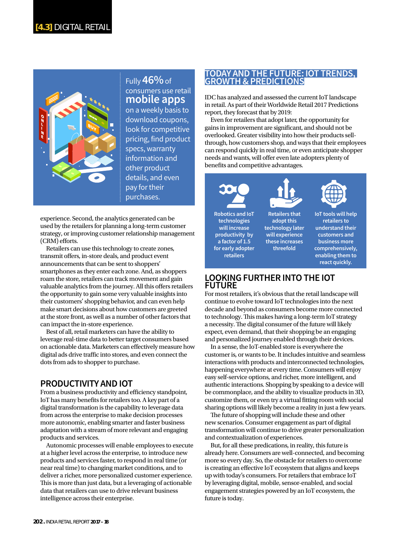

## Fully **46%** of consumers use retail **mobile apps**

on a weekly basis to download coupons, look for competitive pricing, find product specs, warranty information and other product details, and even pay for their purchases.

experience. Second, the analytics generated can be used by the retailers for planning a long-term customer strategy, or improving customer relationship management  $(CRM)$  efforts.

Retailers can use this technology to create zones, transmit offers, in-store deals, and product event announcements that can be sent to shoppers' smartphones as they enter each zone. And, as shoppers roam the store, retailers can track movement and gain valuable analytics from the journey. All this offers retailers the opportunity to gain some very valuable insights into their customers' shopping behavior, and can even help make smart decisions about how customers are greeted at the store front, as well as a number of other factors that can impact the in-store experience.

Best of all, retail marketers can have the ability to leverage real-time data to better target consumers based on actionable data. Marketers can effectively measure how digital ads drive traffic into stores, and even connect the dots from ads to shopper to purchase.

## **PRODUCTIVITY AND IOT**

From a business productivity and efficiency standpoint, IoT has many benefits for retailers too. A key part of a digital transformation is the capability to leverage data from across the enterprise to make decision processes more autonomic, enabling smarter and faster business adaptation with a stream of more relevant and engaging products and services.

Autonomic processes will enable employees to execute at a higher level across the enterprise, to introduce new products and services faster, to respond in real time (or near real time) to changing market conditions, and to deliver a richer, more personalized customer experience. This is more than just data, but a leveraging of actionable data that retailers can use to drive relevant business intelligence across their enterprise.

## **TODAY AND THE FUTURE: IOT TRENDS, GROWTH & PREDICTIONS**

IDC has analyzed and assessed the current IoT landscape in retail. As part of their Worldwide Retail 2017 Predictions report, they forecast that by 2019:

Even for retailers that adopt later, the opportunity for gains in improvement are significant, and should not be overlooked. Greater visibility into how their products sellthrough, how customers shop, and ways that their employees can respond quickly in real time, or even anticipate shopper needs and wants, will offer even late adopters plenty of benefits and competitive advantages.



**Robotics and IoT technologies will increase productivity by a factor of 1.5 for early adopter retailers Retailers that adopt this technology later will experience these increases threefold**



**retailers to understand their customers and business more comprehensively, enabling them to react quickly.**

#### **LOOKING FURTHER INTO THE IOT FUTURE**

For most retailers, it's obvious that the retail landscape will continue to evolve toward IoT technologies into the next decade and beyond as consumers become more connected to technology. This makes having a long-term IoT strategy a necessity. The digital consumer of the future will likely expect, even demand, that their shopping be an engaging and personalized journey enabled through their devices.

In a sense, the IoT-enabled store is everywhere the customer is, or wants to be. It includes intuitive and seamless interactions with products and interconnected technologies, happening everywhere at every time. Consumers will enjoy easy self-service options, and richer, more intelligent, and authentic interactions. Shopping by speaking to a device will be commonplace, and the ability to visualize products in 3D, customize them, or even try a virtual fitting room with social sharing options will likely become a reality in just a few years.

The future of shopping will include these and other new scenarios. Consumer engagement as part of digital transformation will continue to drive greater personalization and contextualization of experiences.

But, for all these predications, in reality, this future is already here. Consumers are well-connected, and becoming more so every day. So, the obstacle for retailers to overcome is creating an effective IoT ecosystem that aligns and keeps up with today's consumers. For retailers that embrace IoT by leveraging digital, mobile, sensor-enabled, and social engagement strategies powered by an IoT ecosystem, the future is today.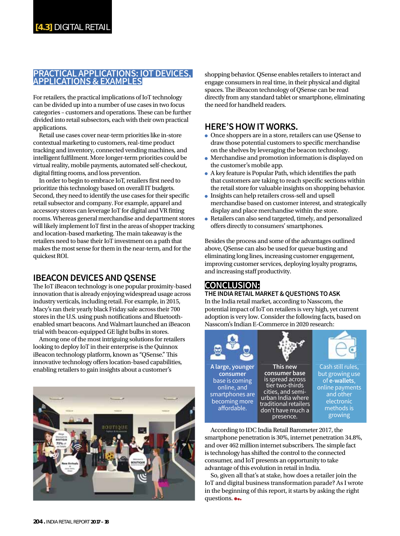## **PRACTICAL APPLICATIONS: IOT DEVICES, APPLICATIONS & EXAMPLES**

For retailers, the practical implications of IoT technology can be divided up into a number of use cases in two focus categories – customers and operations. These can be further divided into retail subsectors, each with their own practical applications.

Retail use cases cover near-term priorities like in-store contextual marketing to customers, real-time product tracking and inventory, connected vending machines, and intelligent fulfilment. More longer-term priorities could be virtual reality, mobile payments, automated self-checkout, digital fitting rooms, and loss prevention.

In order to begin to embrace IoT, retailers first need to prioritize this technology based on overall IT budgets. Second, they need to identify the use cases for their specific retail subsector and company. For example, apparel and accessory stores can leverage IoT for digital and VR fitting rooms. Whereas general merchandise and department stores will likely implement IoT first in the areas of shopper tracking and location-based marketing. The main takeaway is the retailers need to base their IoT investment on a path that makes the most sense for them in the near-term, and for the quickest ROI.

## **IBEACON DEVICES AND QSENSE**

The IoT iBeacon technology is one popular proximity-based innovation that is already enjoying widespread usage across industry verticals, including retail. For example, in 2015, Macy's ran their yearly black Friday sale across their 700 stores in the U.S. using push notifications and Bluetoothenabled smart beacons. And Walmart launched an iBeacon trial with beacon-equipped GE light bulbs in stores.

Among one of the most intriguing solutions for retailers looking to deploy IoT in their enterprise is the Quinnox iBeacon technology platform, known as "QSense." This innovative technology offers location-based capabilities, enabling retailers to gain insights about a customer's



shopping behavior. QSense enables retailers to interact and engage consumers in real time, in their physical and digital spaces. The iBeacon technology of QSense can be read directly from any standard tablet or smartphone, eliminating the need for handheld readers.

## **HERE'S HOW IT WORKS.**

- Once shoppers are in a store, retailers can use QSense to draw those potential customers to specific merchandise on the shelves by leveraging the beacon technology.
- Merchandise and promotion information is displayed on the customer's mobile app.
- $\bullet$  A key feature is Popular Path, which identifies the path that customers are taking to reach specific sections within the retail store for valuable insights on shopping behavior.
- Insights can help retailers cross-sell and upsell merchandise based on customer interest, and strategically display and place merchandise within the store.
- Retailers can also send targeted, timely, and personalized offers directly to consumers' smartphones.

Besides the process and some of the advantages outlined above, QSense can also be used for queue busting and eliminating long lines, increasing customer engagement, improving customer services, deploying loyalty programs, and increasing staff productivity.

## **CONCLUSION:**

#### **THE INDIA RETAIL MARKET & QUESTIONS TO ASK**

In the India retail market, according to Nasscom, the potential impact of IoT on retailers is very high, yet current adoption is very low. Consider the following facts, based on Nasscom's Indian E-Commerce in 2020 research:



According to IDC India Retail Barometer 2017, the smartphone penetration is 30%, internet penetration 34.8%, and over 462 million internet subscribers. The simple fact is technology has shifted the control to the connected consumer, and IoT presents an opportunity to take advantage of this evolution in retail in India.

So, given all that's at stake, how does a retailer join the IoT and digital business transformation parade? As I wrote in the beginning of this report, it starts by asking the right questions. •••